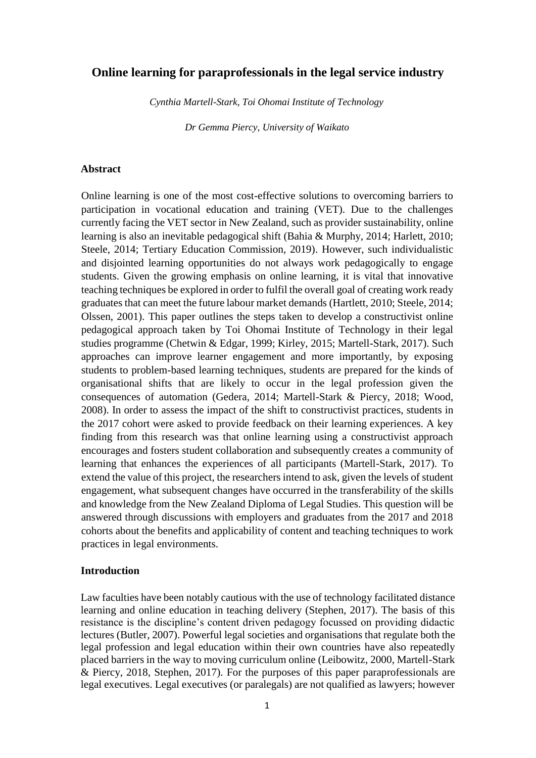# **Online learning for paraprofessionals in the legal service industry**

*Cynthia Martell-Stark, Toi Ohomai Institute of Technology* 

*Dr Gemma Piercy, University of Waikato* 

### **Abstract**

Online learning is one of the most cost-effective solutions to overcoming barriers to participation in vocational education and training (VET). Due to the challenges currently facing the VET sector in New Zealand, such as provider sustainability, online learning is also an inevitable pedagogical shift (Bahia & Murphy, 2014; Harlett, 2010; Steele, 2014; Tertiary Education Commission, 2019). However, such individualistic and disjointed learning opportunities do not always work pedagogically to engage students. Given the growing emphasis on online learning, it is vital that innovative teaching techniques be explored in order to fulfil the overall goal of creating work ready graduates that can meet the future labour market demands (Hartlett, 2010; Steele, 2014; Olssen, 2001). This paper outlines the steps taken to develop a constructivist online pedagogical approach taken by Toi Ohomai Institute of Technology in their legal studies programme (Chetwin & Edgar, 1999; Kirley, 2015; Martell-Stark, 2017). Such approaches can improve learner engagement and more importantly, by exposing students to problem-based learning techniques, students are prepared for the kinds of organisational shifts that are likely to occur in the legal profession given the consequences of automation (Gedera, 2014; Martell-Stark & Piercy, 2018; Wood, 2008). In order to assess the impact of the shift to constructivist practices, students in the 2017 cohort were asked to provide feedback on their learning experiences. A key finding from this research was that online learning using a constructivist approach encourages and fosters student collaboration and subsequently creates a community of learning that enhances the experiences of all participants (Martell-Stark, 2017). To extend the value of this project, the researchers intend to ask, given the levels of student engagement, what subsequent changes have occurred in the transferability of the skills and knowledge from the New Zealand Diploma of Legal Studies. This question will be answered through discussions with employers and graduates from the 2017 and 2018 cohorts about the benefits and applicability of content and teaching techniques to work practices in legal environments.

#### **Introduction**

Law faculties have been notably cautious with the use of technology facilitated distance learning and online education in teaching delivery (Stephen, 2017). The basis of this resistance is the discipline's content driven pedagogy focussed on providing didactic lectures (Butler, 2007). Powerful legal societies and organisations that regulate both the legal profession and legal education within their own countries have also repeatedly placed barriers in the way to moving curriculum online (Leibowitz, 2000, Martell-Stark & Piercy, 2018, Stephen, 2017). For the purposes of this paper paraprofessionals are legal executives. Legal executives (or paralegals) are not qualified as lawyers; however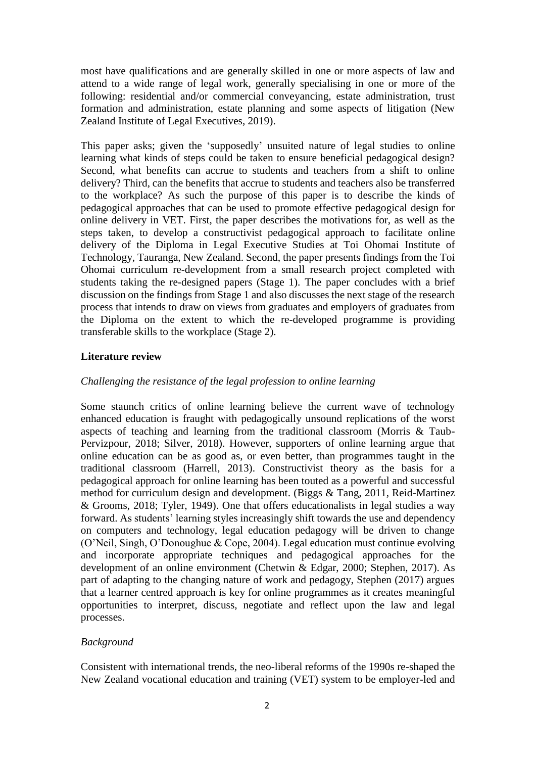most have qualifications and are generally skilled in one or more aspects of law and attend to a wide range of legal work, generally specialising in one or more of the following: residential and/or commercial conveyancing, estate administration, trust formation and administration, estate planning and some aspects of litigation (New Zealand Institute of Legal Executives, 2019).

This paper asks; given the 'supposedly' unsuited nature of legal studies to online learning what kinds of steps could be taken to ensure beneficial pedagogical design? Second, what benefits can accrue to students and teachers from a shift to online delivery? Third, can the benefits that accrue to students and teachers also be transferred to the workplace? As such the purpose of this paper is to describe the kinds of pedagogical approaches that can be used to promote effective pedagogical design for online delivery in VET. First, the paper describes the motivations for, as well as the steps taken, to develop a constructivist pedagogical approach to facilitate online delivery of the Diploma in Legal Executive Studies at Toi Ohomai Institute of Technology, Tauranga, New Zealand. Second, the paper presents findings from the Toi Ohomai curriculum re-development from a small research project completed with students taking the re-designed papers (Stage 1). The paper concludes with a brief discussion on the findings from Stage 1 and also discusses the next stage of the research process that intends to draw on views from graduates and employers of graduates from the Diploma on the extent to which the re-developed programme is providing transferable skills to the workplace (Stage 2).

# **Literature review**

## *Challenging the resistance of the legal profession to online learning*

Some staunch critics of online learning believe the current wave of technology enhanced education is fraught with pedagogically unsound replications of the worst aspects of teaching and learning from the traditional classroom (Morris & Taub-Pervizpour, 2018; Silver, 2018). However, supporters of online learning argue that online education can be as good as, or even better, than programmes taught in the traditional classroom (Harrell, 2013). Constructivist theory as the basis for a pedagogical approach for online learning has been touted as a powerful and successful method for curriculum design and development. (Biggs & Tang, 2011, Reid-Martinez & Grooms, 2018; Tyler, 1949). One that offers educationalists in legal studies a way forward. As students' learning styles increasingly shift towards the use and dependency on computers and technology, legal education pedagogy will be driven to change (O'Neil, Singh, O'Donoughue & Cope, 2004). Legal education must continue evolving and incorporate appropriate techniques and pedagogical approaches for the development of an online environment (Chetwin & Edgar, 2000; Stephen, 2017). As part of adapting to the changing nature of work and pedagogy, Stephen (2017) argues that a learner centred approach is key for online programmes as it creates meaningful opportunities to interpret, discuss, negotiate and reflect upon the law and legal processes.

# *Background*

Consistent with international trends, the neo-liberal reforms of the 1990s re-shaped the New Zealand vocational education and training (VET) system to be employer-led and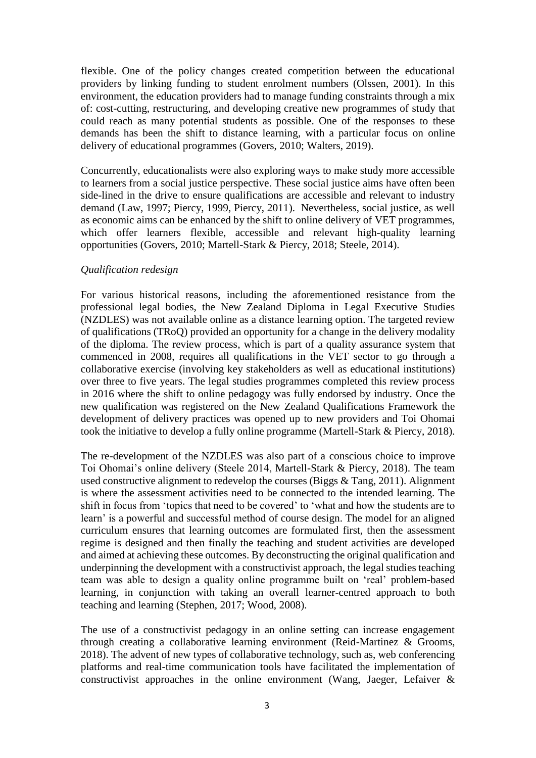flexible. One of the policy changes created competition between the educational providers by linking funding to student enrolment numbers (Olssen, 2001). In this environment, the education providers had to manage funding constraints through a mix of: cost-cutting, restructuring, and developing creative new programmes of study that could reach as many potential students as possible. One of the responses to these demands has been the shift to distance learning, with a particular focus on online delivery of educational programmes (Govers, 2010; Walters, 2019).

Concurrently, educationalists were also exploring ways to make study more accessible to learners from a social justice perspective. These social justice aims have often been side-lined in the drive to ensure qualifications are accessible and relevant to industry demand (Law, 1997; Piercy, 1999, Piercy, 2011). Nevertheless, social justice, as well as economic aims can be enhanced by the shift to online delivery of VET programmes, which offer learners flexible, accessible and relevant high-quality learning opportunities (Govers, 2010; Martell-Stark & Piercy, 2018; Steele, 2014).

### *Qualification redesign*

For various historical reasons, including the aforementioned resistance from the professional legal bodies, the New Zealand Diploma in Legal Executive Studies (NZDLES) was not available online as a distance learning option. The targeted review of qualifications (TRoQ) provided an opportunity for a change in the delivery modality of the diploma. The review process, which is part of a quality assurance system that commenced in 2008, requires all qualifications in the VET sector to go through a collaborative exercise (involving key stakeholders as well as educational institutions) over three to five years. The legal studies programmes completed this review process in 2016 where the shift to online pedagogy was fully endorsed by industry. Once the new qualification was registered on the New Zealand Qualifications Framework the development of delivery practices was opened up to new providers and Toi Ohomai took the initiative to develop a fully online programme (Martell-Stark & Piercy, 2018).

The re-development of the NZDLES was also part of a conscious choice to improve Toi Ohomai's online delivery (Steele 2014, Martell-Stark & Piercy, 2018). The team used constructive alignment to redevelop the courses (Biggs & Tang, 2011). Alignment is where the assessment activities need to be connected to the intended learning. The shift in focus from 'topics that need to be covered' to 'what and how the students are to learn' is a powerful and successful method of course design. The model for an aligned curriculum ensures that learning outcomes are formulated first, then the assessment regime is designed and then finally the teaching and student activities are developed and aimed at achieving these outcomes. By deconstructing the original qualification and underpinning the development with a constructivist approach, the legal studies teaching team was able to design a quality online programme built on 'real' problem-based learning, in conjunction with taking an overall learner-centred approach to both teaching and learning (Stephen, 2017; Wood, 2008).

The use of a constructivist pedagogy in an online setting can increase engagement through creating a collaborative learning environment (Reid-Martinez & Grooms, 2018). The advent of new types of collaborative technology, such as, web conferencing platforms and real-time communication tools have facilitated the implementation of constructivist approaches in the online environment (Wang, Jaeger, Lefaiver &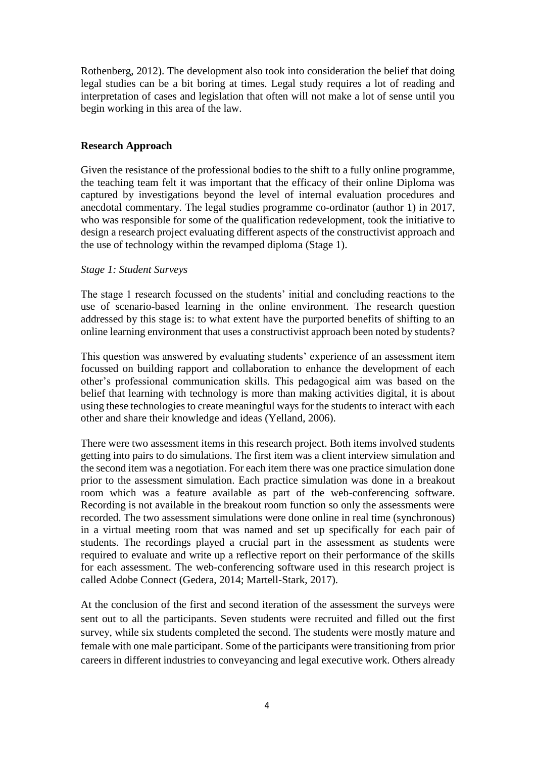Rothenberg, 2012). The development also took into consideration the belief that doing legal studies can be a bit boring at times. Legal study requires a lot of reading and interpretation of cases and legislation that often will not make a lot of sense until you begin working in this area of the law.

### **Research Approach**

Given the resistance of the professional bodies to the shift to a fully online programme, the teaching team felt it was important that the efficacy of their online Diploma was captured by investigations beyond the level of internal evaluation procedures and anecdotal commentary. The legal studies programme co-ordinator (author 1) in 2017, who was responsible for some of the qualification redevelopment, took the initiative to design a research project evaluating different aspects of the constructivist approach and the use of technology within the revamped diploma (Stage 1).

#### *Stage 1: Student Surveys*

The stage 1 research focussed on the students' initial and concluding reactions to the use of scenario-based learning in the online environment. The research question addressed by this stage is: to what extent have the purported benefits of shifting to an online learning environment that uses a constructivist approach been noted by students?

This question was answered by evaluating students' experience of an assessment item focussed on building rapport and collaboration to enhance the development of each other's professional communication skills. This pedagogical aim was based on the belief that learning with technology is more than making activities digital, it is about using these technologies to create meaningful ways for the students to interact with each other and share their knowledge and ideas (Yelland, 2006).

There were two assessment items in this research project. Both items involved students getting into pairs to do simulations. The first item was a client interview simulation and the second item was a negotiation. For each item there was one practice simulation done prior to the assessment simulation. Each practice simulation was done in a breakout room which was a feature available as part of the web-conferencing software. Recording is not available in the breakout room function so only the assessments were recorded. The two assessment simulations were done online in real time (synchronous) in a virtual meeting room that was named and set up specifically for each pair of students. The recordings played a crucial part in the assessment as students were required to evaluate and write up a reflective report on their performance of the skills for each assessment. The web-conferencing software used in this research project is called Adobe Connect (Gedera, 2014; Martell-Stark, 2017).

At the conclusion of the first and second iteration of the assessment the surveys were sent out to all the participants. Seven students were recruited and filled out the first survey, while six students completed the second. The students were mostly mature and female with one male participant. Some of the participants were transitioning from prior careers in different industries to conveyancing and legal executive work. Others already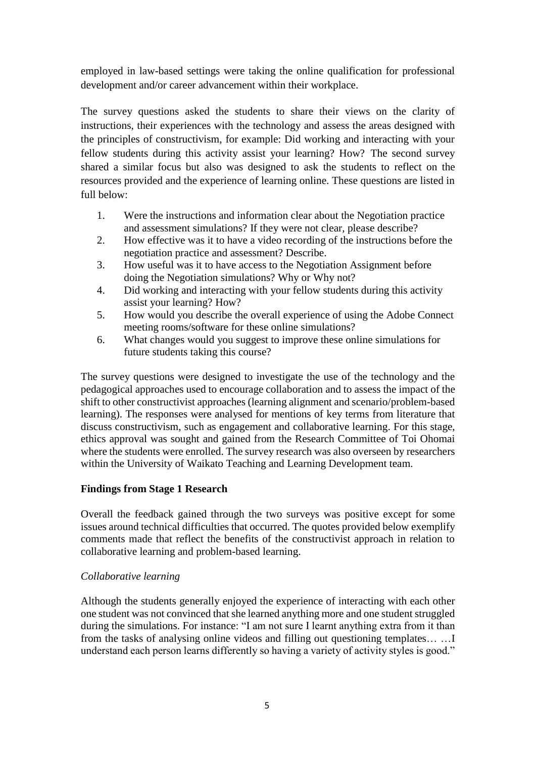employed in law-based settings were taking the online qualification for professional development and/or career advancement within their workplace.

The survey questions asked the students to share their views on the clarity of instructions, their experiences with the technology and assess the areas designed with the principles of constructivism, for example: Did working and interacting with your fellow students during this activity assist your learning? How? The second survey shared a similar focus but also was designed to ask the students to reflect on the resources provided and the experience of learning online. These questions are listed in full below:

- 1. Were the instructions and information clear about the Negotiation practice and assessment simulations? If they were not clear, please describe?
- 2. How effective was it to have a video recording of the instructions before the negotiation practice and assessment? Describe.
- 3. How useful was it to have access to the Negotiation Assignment before doing the Negotiation simulations? Why or Why not?
- 4. Did working and interacting with your fellow students during this activity assist your learning? How?
- 5. How would you describe the overall experience of using the Adobe Connect meeting rooms/software for these online simulations?
- 6. What changes would you suggest to improve these online simulations for future students taking this course?

The survey questions were designed to investigate the use of the technology and the pedagogical approaches used to encourage collaboration and to assess the impact of the shift to other constructivist approaches (learning alignment and scenario/problem-based learning). The responses were analysed for mentions of key terms from literature that discuss constructivism, such as engagement and collaborative learning. For this stage, ethics approval was sought and gained from the Research Committee of Toi Ohomai where the students were enrolled. The survey research was also overseen by researchers within the University of Waikato Teaching and Learning Development team.

# **Findings from Stage 1 Research**

Overall the feedback gained through the two surveys was positive except for some issues around technical difficulties that occurred. The quotes provided below exemplify comments made that reflect the benefits of the constructivist approach in relation to collaborative learning and problem-based learning.

### *Collaborative learning*

Although the students generally enjoyed the experience of interacting with each other one student was not convinced that she learned anything more and one student struggled during the simulations. For instance: "I am not sure I learnt anything extra from it than from the tasks of analysing online videos and filling out questioning templates… …I understand each person learns differently so having a variety of activity styles is good."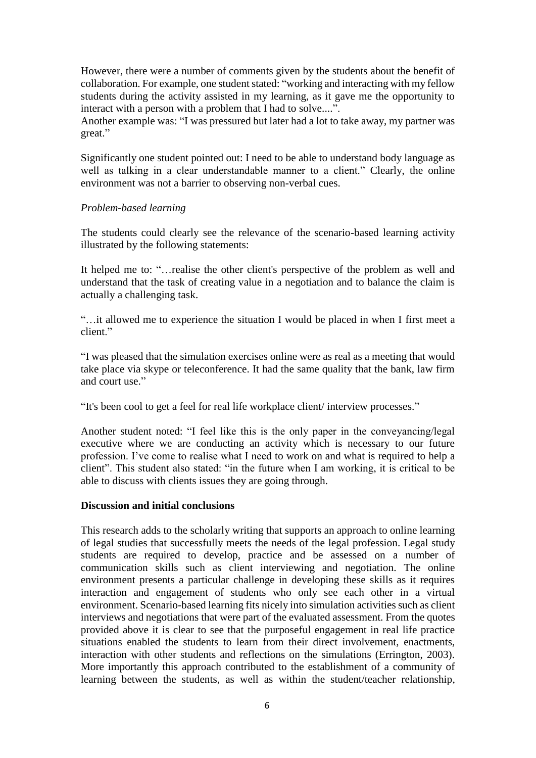However, there were a number of comments given by the students about the benefit of collaboration. For example, one student stated: "working and interacting with my fellow students during the activity assisted in my learning, as it gave me the opportunity to interact with a person with a problem that I had to solve....".

Another example was: "I was pressured but later had a lot to take away, my partner was great."

Significantly one student pointed out: I need to be able to understand body language as well as talking in a clear understandable manner to a client." Clearly, the online environment was not a barrier to observing non-verbal cues.

### *Problem-based learning*

The students could clearly see the relevance of the scenario-based learning activity illustrated by the following statements:

It helped me to: "…realise the other client's perspective of the problem as well and understand that the task of creating value in a negotiation and to balance the claim is actually a challenging task.

"…it allowed me to experience the situation I would be placed in when I first meet a client."

"I was pleased that the simulation exercises online were as real as a meeting that would take place via skype or teleconference. It had the same quality that the bank, law firm and court use."

"It's been cool to get a feel for real life workplace client/ interview processes."

Another student noted: "I feel like this is the only paper in the conveyancing/legal executive where we are conducting an activity which is necessary to our future profession. I've come to realise what I need to work on and what is required to help a client". This student also stated: "in the future when I am working, it is critical to be able to discuss with clients issues they are going through.

### **Discussion and initial conclusions**

This research adds to the scholarly writing that supports an approach to online learning of legal studies that successfully meets the needs of the legal profession. Legal study students are required to develop, practice and be assessed on a number of communication skills such as client interviewing and negotiation. The online environment presents a particular challenge in developing these skills as it requires interaction and engagement of students who only see each other in a virtual environment. Scenario-based learning fits nicely into simulation activities such as client interviews and negotiations that were part of the evaluated assessment. From the quotes provided above it is clear to see that the purposeful engagement in real life practice situations enabled the students to learn from their direct involvement, enactments, interaction with other students and reflections on the simulations (Errington, 2003). More importantly this approach contributed to the establishment of a community of learning between the students, as well as within the student/teacher relationship,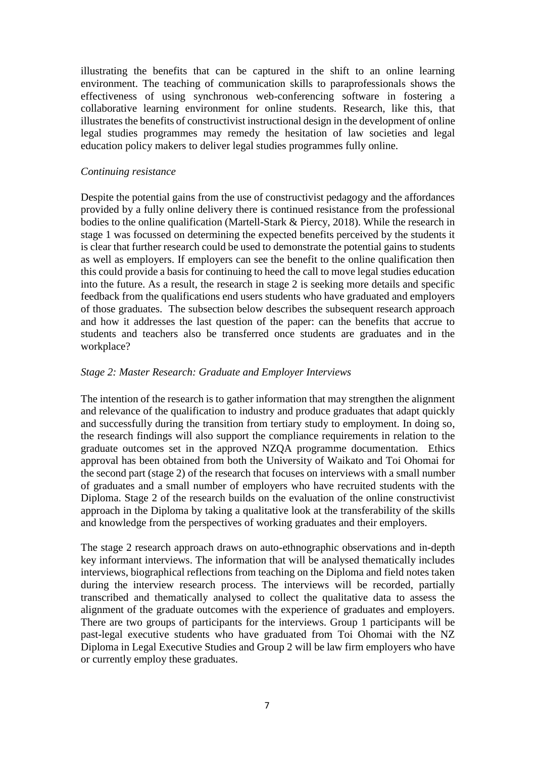illustrating the benefits that can be captured in the shift to an online learning environment. The teaching of communication skills to paraprofessionals shows the effectiveness of using synchronous web-conferencing software in fostering a collaborative learning environment for online students. Research, like this, that illustrates the benefits of constructivist instructional design in the development of online legal studies programmes may remedy the hesitation of law societies and legal education policy makers to deliver legal studies programmes fully online.

### *Continuing resistance*

Despite the potential gains from the use of constructivist pedagogy and the affordances provided by a fully online delivery there is continued resistance from the professional bodies to the online qualification (Martell-Stark & Piercy, 2018). While the research in stage 1 was focussed on determining the expected benefits perceived by the students it is clear that further research could be used to demonstrate the potential gains to students as well as employers. If employers can see the benefit to the online qualification then this could provide a basis for continuing to heed the call to move legal studies education into the future. As a result, the research in stage 2 is seeking more details and specific feedback from the qualifications end users students who have graduated and employers of those graduates. The subsection below describes the subsequent research approach and how it addresses the last question of the paper: can the benefits that accrue to students and teachers also be transferred once students are graduates and in the workplace?

### *Stage 2: Master Research: Graduate and Employer Interviews*

The intention of the research is to gather information that may strengthen the alignment and relevance of the qualification to industry and produce graduates that adapt quickly and successfully during the transition from tertiary study to employment. In doing so, the research findings will also support the compliance requirements in relation to the graduate outcomes set in the approved NZQA programme documentation. Ethics approval has been obtained from both the University of Waikato and Toi Ohomai for the second part (stage 2) of the research that focuses on interviews with a small number of graduates and a small number of employers who have recruited students with the Diploma. Stage 2 of the research builds on the evaluation of the online constructivist approach in the Diploma by taking a qualitative look at the transferability of the skills and knowledge from the perspectives of working graduates and their employers.

The stage 2 research approach draws on auto-ethnographic observations and in-depth key informant interviews. The information that will be analysed thematically includes interviews, biographical reflections from teaching on the Diploma and field notes taken during the interview research process. The interviews will be recorded, partially transcribed and thematically analysed to collect the qualitative data to assess the alignment of the graduate outcomes with the experience of graduates and employers. There are two groups of participants for the interviews. Group 1 participants will be past-legal executive students who have graduated from Toi Ohomai with the NZ Diploma in Legal Executive Studies and Group 2 will be law firm employers who have or currently employ these graduates.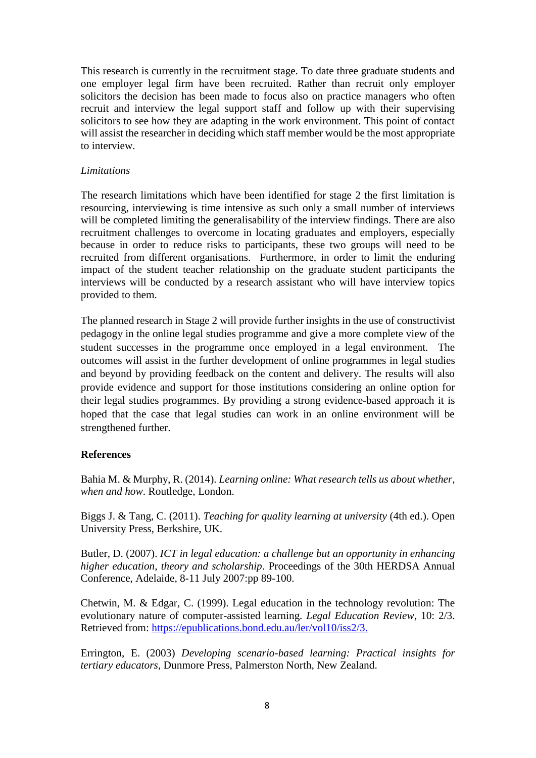This research is currently in the recruitment stage. To date three graduate students and one employer legal firm have been recruited. Rather than recruit only employer solicitors the decision has been made to focus also on practice managers who often recruit and interview the legal support staff and follow up with their supervising solicitors to see how they are adapting in the work environment. This point of contact will assist the researcher in deciding which staff member would be the most appropriate to interview.

### *Limitations*

The research limitations which have been identified for stage 2 the first limitation is resourcing, interviewing is time intensive as such only a small number of interviews will be completed limiting the generalisability of the interview findings. There are also recruitment challenges to overcome in locating graduates and employers, especially because in order to reduce risks to participants, these two groups will need to be recruited from different organisations. Furthermore, in order to limit the enduring impact of the student teacher relationship on the graduate student participants the interviews will be conducted by a research assistant who will have interview topics provided to them.

The planned research in Stage 2 will provide further insights in the use of constructivist pedagogy in the online legal studies programme and give a more complete view of the student successes in the programme once employed in a legal environment. The outcomes will assist in the further development of online programmes in legal studies and beyond by providing feedback on the content and delivery. The results will also provide evidence and support for those institutions considering an online option for their legal studies programmes. By providing a strong evidence-based approach it is hoped that the case that legal studies can work in an online environment will be strengthened further.

# **References**

Bahia M. & Murphy, R. (2014). *Learning online: What research tells us about whether, when and how*. Routledge, London.

Biggs J. & Tang, C. (2011). *Teaching for quality learning at university* (4th ed.). Open University Press, Berkshire, UK.

Butler, D. (2007). *ICT in legal education: a challenge but an opportunity in enhancing higher education, theory and scholarship*. Proceedings of the 30th HERDSA Annual Conference, Adelaide, 8-11 July 2007:pp 89-100.

Chetwin, M. & Edgar, C. (1999). Legal education in the technology revolution: The evolutionary nature of computer-assisted learning. *Legal Education Review*, 10: 2/3. Retrieved from: [https://epublications.bond.edu.au/ler/vol10/iss2/3.](https://epublications.bond.edu.au/ler/vol10/iss2/3)

Errington, E. (2003) *Developing scenario-based learning: Practical insights for tertiary educators*, Dunmore Press, Palmerston North, New Zealand.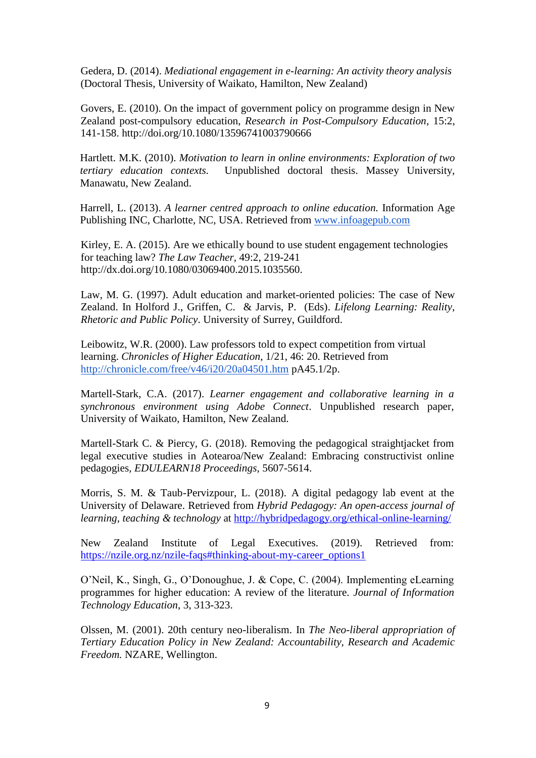Gedera, D. (2014). *Mediational engagement in e-learning: An activity theory analysis*  (Doctoral Thesis, University of Waikato, Hamilton, New Zealand)

Govers, E. (2010). On the impact of government policy on programme design in New Zealand post-compulsory education, *Research in Post-Compulsory Education*, 15:2, 141-158. http://doi.org/10.1080/13596741003790666

Hartlett. M.K. (2010). *Motivation to learn in online environments: Exploration of two tertiary education contexts.* Unpublished doctoral thesis. Massey University, Manawatu, New Zealand.

Harrell, L. (2013). *A learner centred approach to online education.* Information Age Publishing INC, Charlotte, NC, USA. Retrieved from [www.infoagepub.com](http://www.infoagepub.com/)

Kirley, E. A. [\(2015](http://dx.doi.org/10.1080/03069400.2015.1035560)). Are we ethically bound to use student engagement technologies for teaching law? *The Law Teacher,* 49:2, 219-241 http://dx.doi.org/10.1080/03069400.2015.1035560.

Law, M. G. (1997). Adult education and market-oriented policies: The case of New Zealand. In Holford J., Griffen, C. & Jarvis, P. (Eds). *Lifelong Learning: Reality, Rhetoric and Public Policy*. University of Surrey, Guildford.

Leibowitz, W.R. (2000). Law professors told to expect competition from virtual learning. *Chronicles of Higher Education*, 1/21, 46: 20. Retrieved from <http://chronicle.com/free/v46/i20/20a04501.htm> pA45.1/2p.

Martell-Stark, C.A. (2017). *Learner engagement and collaborative learning in a synchronous environment using Adobe Connect*. Unpublished research paper, University of Waikato, Hamilton, New Zealand.

Martell-Stark C. & Piercy, G. (2018). Removing the pedagogical straightjacket from legal executive studies in Aotearoa/New Zealand: Embracing constructivist online pedagogies*, EDULEARN18 Proceedings,* 5607-5614.

Morris, S. M. & Taub-Pervizpour, L. (2018). A digital pedagogy lab event at the University of Delaware. Retrieved from *Hybrid Pedagogy: An open-access journal of learning, teaching & technology* at<http://hybridpedagogy.org/ethical-online-learning/>

New Zealand Institute of Legal Executives. (2019). Retrieved from: [https://nzile.org.nz/nzile-faqs#thinking-about-my-career\\_options1](https://nzile.org.nz/nzile-faqs#thinking-about-my-career_options1)

O'Neil, K., Singh, G., O'Donoughue, J. & Cope, C. (2004). Implementing eLearning programmes for higher education: A review of the literature. *Journal of Information Technology Education*, 3, 313-323.

Olssen, M. (2001). 20th century neo-liberalism. In *The Neo-liberal appropriation of Tertiary Education Policy in New Zealand: Accountability, Research and Academic Freedom.* NZARE, Wellington.